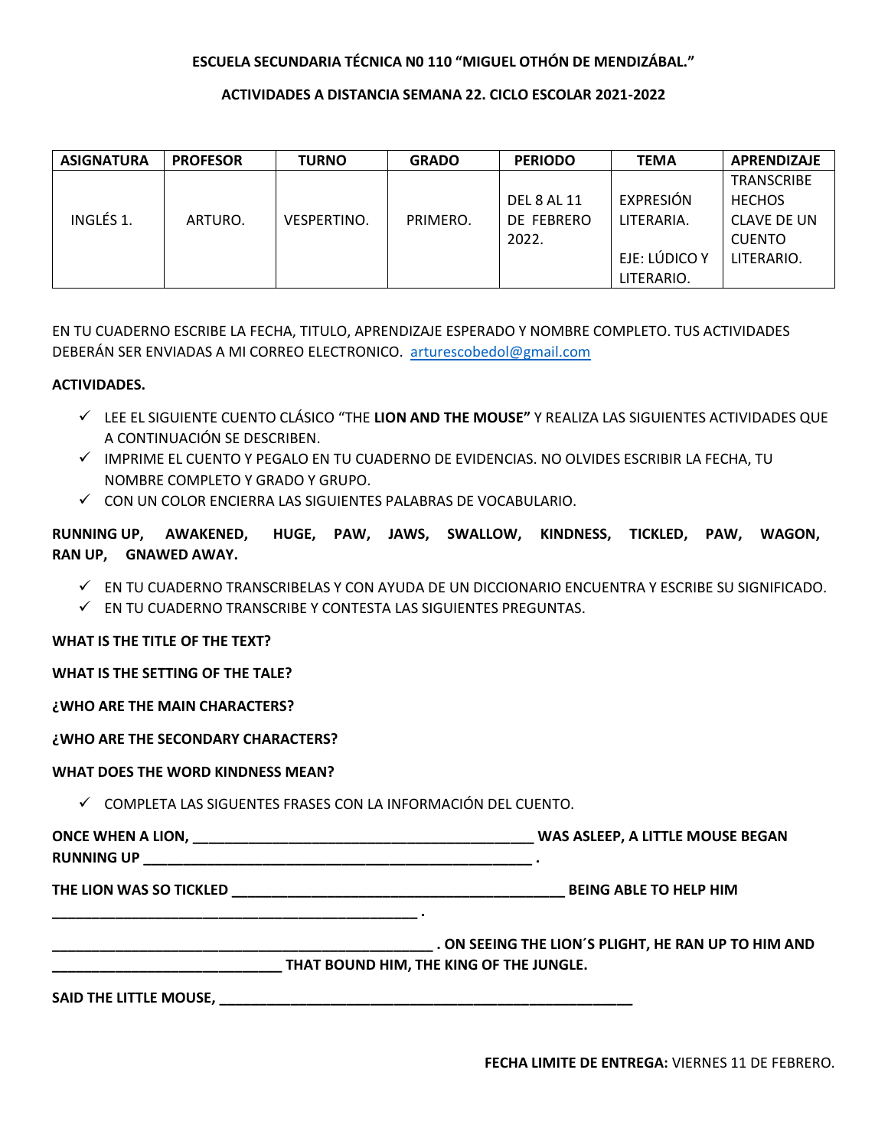# **ESCUELA SECUNDARIA TÉCNICA NO 110 "MIGUEL OTHÓN DE MENDIZÁBAL."**

## ACTIVIDADES A DISTANCIA SEMANA 22. CICLO ESCOLAR 2021-2022

| <b>ASIGNATURA</b> | <b>PROFESOR</b> | <b>TURNO</b>       | <b>GRADO</b> | <b>PERIODO</b> | <b>TEMA</b>   | <b>APRENDIZAJE</b> |
|-------------------|-----------------|--------------------|--------------|----------------|---------------|--------------------|
|                   |                 |                    |              |                |               | <b>TRANSCRIBE</b>  |
|                   |                 |                    |              | DEL 8 AL 11    | EXPRESIÓN     | <b>HECHOS</b>      |
| INGLÉS 1.         | ARTURO.         | <b>VESPERTINO.</b> | PRIMERO.     | DE FEBRERO     | LITERARIA.    | CLAVE DE UN        |
|                   |                 |                    |              | 2022.          |               | <b>CUENTO</b>      |
|                   |                 |                    |              |                | EJE: LÚDICO Y | LITERARIO.         |
|                   |                 |                    |              |                | LITERARIO.    |                    |

EN TU CUADERNO ESCRIBE LA FECHA, TITULO, APRENDIZAJE ESPERADO Y NOMBRE COMPLETO. TUS ACTIVIDADES DEBERÁN SER ENVIADAS A MI CORREO ELECTRONICO. arturescobedol@gmail.com

### **ACTIVIDADES.**

- $\checkmark$  LEE EL SIGUIENTE CUENTO CLÁSICO "THE **LION AND THE MOUSE"** Y REALIZA LAS SIGUIENTES ACTIVIDADES OUE A CONTINUACIÓN SE DESCRIBEN.
- √ IMPRIME EL CUENTO Y PEGALO EN TU CUADERNO DE EVIDENCIAS. NO OLVIDES ESCRIBIR LA FECHA, TU NOMBRE COMPLETO Y GRADO Y GRUPO.
- ✓ CON UN COLOR ENCIERRA LAS SIGUIENTES PALABRAS DE VOCABULARIO.

RUNNING UP, AWAKENED, HUGE, PAW, JAWS, SWALLOW, KINDNESS, TICKLED, PAW, WAGON, RAN UP, GNAWED AWAY.

- $\checkmark$  EN TU CUADERNO TRANSCRIBELAS Y CON AYUDA DE UN DICCIONARIO ENCUENTRA Y ESCRIBE SU SIGNIFICADO.
- $\checkmark$  EN TU CUADERNO TRANSCRIBE Y CONTESTA LAS SIGUIENTES PREGUNTAS.

### WHAT IS THE TITLE OF THE TEXT?

WHAT IS THE SETTING OF THE TALE?

### ¿WHO ARE THE MAIN CHARACTERS?

### ¿WHO ARE THE SECONDARY CHARACTERS?

### **WHAT DOES THE WORD KINDNESS MEAN?**

 $\checkmark$  COMPLETA LAS SIGUENTES FRASES CON LA INFORMACIÓN DEL CUENTO.

ONCE WHEN A LION, WAS ASLEEP, A LITTLE MOUSE BEGAN **RUNNING UP \_\_\_\_\_\_\_\_\_\_** 

|                                         | ON SEEING THE LION'S PLIGHT, HE RAN UP TO HIM AND |  |  |  |
|-----------------------------------------|---------------------------------------------------|--|--|--|
| THAT BOUND HIM, THE KING OF THE JUNGLE. |                                                   |  |  |  |
|                                         |                                                   |  |  |  |

SAID THE LITTLE MOUSE, **SAID THE LITTLE MOUSE,** The same of the same of the same of the same of the same of the same of the same of the same of the same of the same of the same of the same of the same of the same of the sa